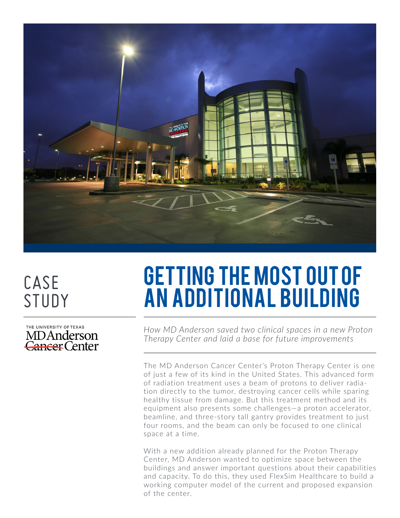

# CASE STUDY

THE UNIVERSITY OF TEXAS MDAnderson Cancer Center

# Getting the most out of an additional building

*How MD Anderson saved two clinical spaces in a new Proton Therapy Center and laid a base for future improvements*

The MD Anderson Cancer Center's Proton Therapy Center is one of just a few of its kind in the United States. This advanced form of radiation treatment uses a beam of protons to deliver radiation directly to the tumor, destroying cancer cells while sparing healthy tissue from damage. But this treatment method and its equipment also presents some challenges—a proton accelerator, beamline, and three-story tall gantry provides treatment to just four rooms, and the beam can only be focused to one clinical space at a time.

With a new addition already planned for the Proton Therapy Center, MD Anderson wanted to optimize space between the buildings and answer important questions about their capabilities and capacity. To do this, they used FlexSim Healthcare to build a working computer model of the current and proposed expansion of the center.